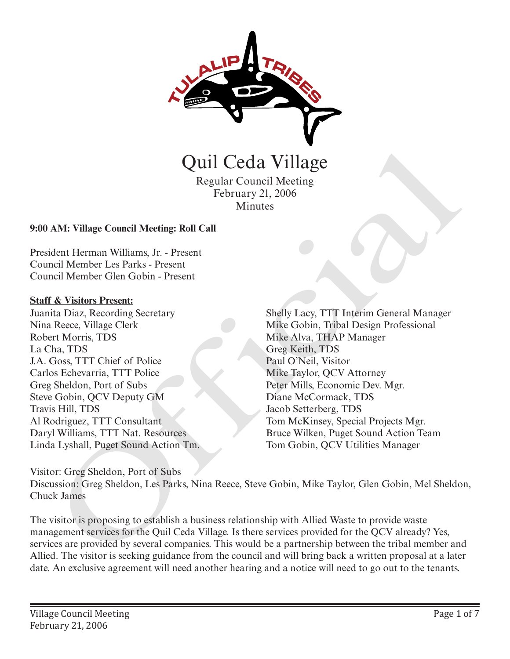

Regular Council Meeting February 21, 2006 **Minutes** 

### **9:00 AM: Village Council Meeting: Roll Call**

President Herman Williams, Jr. - Present Council Member Les Parks - Present Council Member Glen Gobin - Present

### **Staff & Visitors Present:**

Juanita Diaz, Recording Secretary Nina Reece, Village Clerk Robert Morris, TDS La Cha, TDS J.A. Goss, TTT Chief of Police Carlos Echevarria, TTT Police Greg Sheldon, Port of Subs Steve Gobin, QCV Deputy GM Travis Hill, TDS Al Rodriguez, TTT Consultant Daryl Williams, TTT Nat. Resources Linda Lyshall, Puget Sound Action Tm.

Shelly Lacy, TTT Interim General Manager Mike Gobin, Tribal Design Professional Mike Alva, THAP Manager Greg Keith, TDS Paul O'Neil, Visitor Mike Taylor, QCV Attorney Peter Mills, Economic Dev. Mgr. Diane McCormack, TDS Jacob Setterberg, TDS Tom McKinsey, Special Projects Mgr. Bruce Wilken, Puget Sound Action Team **CECT COMPRET (CECT)**<br>
Regular Council Meeting<br>
Regular Council Meeting<br>
February 21, 2006<br>
Minutes<br>
AM: Village Council Meeting: Roll Call<br>
dcnt Herman Williams, Jr. - Present<br>
mici Member 1.es Parks - Present<br>
rid Member

Visitor: Greg Sheldon, Port of Subs Discussion: Greg Sheldon, Les Parks, Nina Reece, Steve Gobin, Mike Taylor, Glen Gobin, Mel Sheldon, Chuck James

The visitor is proposing to establish a business relationship with Allied Waste to provide waste management services for the Quil Ceda Village. Is there services provided for the QCV already? Yes, services are provided by several companies. This would be a partnership between the tribal member and Allied. The visitor is seeking guidance from the council and will bring back a written proposal at a later date. An exclusive agreement will need another hearing and a notice will need to go out to the tenants.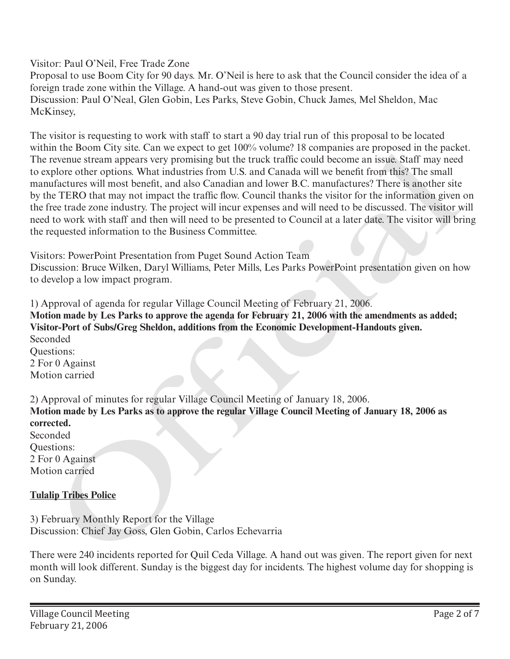Visitor: Paul O'Neil, Free Trade Zone

Proposal to use Boom City for 90 days. Mr. O'Neil is here to ask that the Council consider the idea of a foreign trade zone within the Village. A hand-out was given to those present. Discussion: Paul O'Neal, Glen Gobin, Les Parks, Steve Gobin, Chuck James, Mel Sheldon, Mac McKinsey,

The visitor is requesting to work with staff to start a 90 day trial run of this proposal to be located within the Boom City site. Can we expect to get  $100\%$  volume? 18 companies are proposed in the packet. The revenue stream appears very promising but the truck traffic could become an issue. Staff may need to explore other options. What industries from U.S. and Canada will we benefit from this? The small manufactures will most benefit, and also Canadian and lower B.C. manufactures? There is another site by the TERO that may not impact the traffic flow. Council thanks the visitor for the information given on the free trade zone industry. The project will incur expenses and will need to be discussed. The visitor will need to work with staff and then will need to be presented to Council at a later date. The visitor will bring the requested information to the Business Committee. In the Hoom Uny site. Can we espect to get 100% wouther 18 companies are proposed in the place<br>tree-me stream appears very promising but the truck traffic could become an issue. Staff may need<br>plote other options. What ind

Visitors: PowerPoint Presentation from Puget Sound Action Team

Discussion: Bruce Wilken, Daryl Williams, Peter Mills, Les Parks PowerPoint presentation given on how to develop a low impact program.

1) Approval of agenda for regular Village Council Meeting of February 21, 2006. **Motion made by Les Parks to approve the agenda for February 21, 2006 with the amendments as added; Visitor-Port of Subs/Greg Sheldon, additions from the Economic Development-Handouts given.**  Seconded Questions: 2 For 0 Against Motion carried

2) Approval of minutes for regular Village Council Meeting of January 18, 2006. **Motion made by Les Parks as to approve the regular Village Council Meeting of January 18, 2006 as corrected.**  Seconded Questions: 2 For 0 Against Motion carried

# **Tulalip Tribes Police**

3) February Monthly Report for the Village Discussion: Chief Jay Goss, Glen Gobin, Carlos Echevarria

There were 240 incidents reported for Quil Ceda Village. A hand out was given. The report given for next month will look different. Sunday is the biggest day for incidents. The highest volume day for shopping is on Sunday.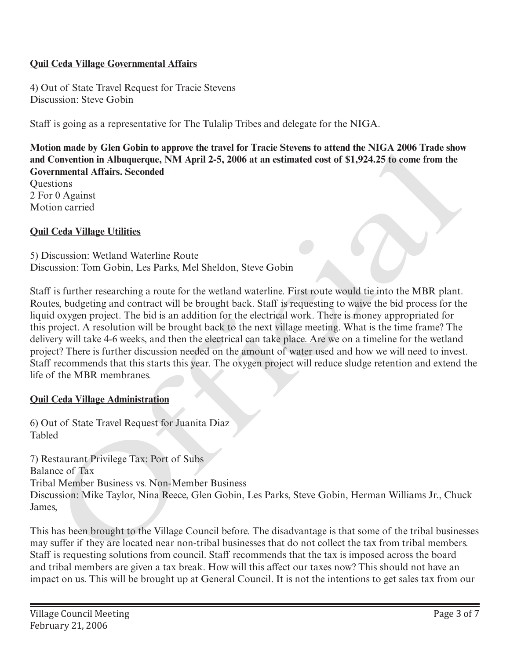# **Quil Ceda Village Governmental Affairs**

4) Out of State Travel Request for Tracie Stevens Discussion: Steve Gobin

Staff is going as a representative for The Tulalip Tribes and delegate for the NIGA.

**Motion made by Glen Gobin to approve the travel for Tracie Stevens to attend the NIGA 2006 Trade show and Convention in Albuquerque, NM April 2-5, 2006 at an estimated cost of \$1,924.25 to come from the Governmental Affairs. Seconded**

**Ouestions** 2 For 0 Against Motion carried

# **Quil Ceda Village Utilities**

5) Discussion: Wetland Waterline Route Discussion: Tom Gobin, Les Parks, Mel Sheldon, Steve Gobin

Staff is further researching a route for the wetland waterline. First route would tie into the MBR plant. Routes, budgeting and contract will be brought back. Staff is requesting to waive the bid process for the liquid oxygen project. The bid is an addition for the electrical work. There is money appropriated for this project. A resolution will be brought back to the next village meeting. What is the time frame? The delivery will take 4-6 weeks, and then the electrical can take place. Are we on a timeline for the wetland project? There is further discussion needed on the amount of water used and how we will need to invest. Staff recommends that this starts this year. The oxygen project will reduce sludge retention and extend the life of the MBR membranes. on mande by Geth Golom to approve the reasted to Trace Stevens to attend the NIVA 2006<br>Convention in Albuquerque, NM April 2-5, 2006 at an estimated cost of \$1,924.25 to come from the<br>runnental Affairs. Seconded<br>tions<br>tion

# **Quil Ceda Village Administration**

6) Out of State Travel Request for Juanita Diaz Tabled

7) Restaurant Privilege Tax: Port of Subs Balance of Tax Tribal Member Business vs. Non-Member Business Discussion: Mike Taylor, Nina Reece, Glen Gobin, Les Parks, Steve Gobin, Herman Williams Jr., Chuck James,

This has been brought to the Village Council before. The disadvantage is that some of the tribal businesses may suffer if they are located near non-tribal businesses that do not collect the tax from tribal members. Staff is requesting solutions from council. Staff recommends that the tax is imposed across the board and tribal members are given a tax break. How will this affect our taxes now? This should not have an impact on us. This will be brought up at General Council. It is not the intentions to get sales tax from our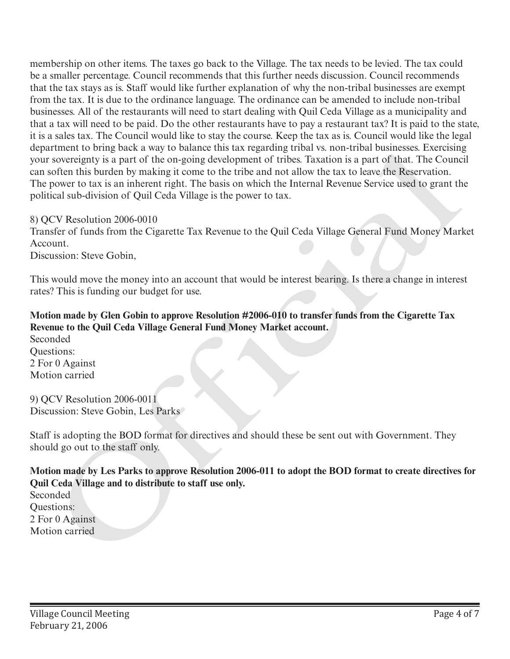membership on other items. The taxes go back to the Village. The tax needs to be levied. The tax could be a smaller percentage. Council recommends that this further needs discussion. Council recommends that the tax stays as is. Staff would like further explanation of why the non-tribal businesses are exempt from the tax. It is due to the ordinance language. The ordinance can be amended to include non-tribal businesses. All of the restaurants will need to start dealing with Quil Ceda Village as a municipality and that a tax will need to be paid. Do the other restaurants have to pay a restaurant tax? It is paid to the state, it is a sales tax. The Council would like to stay the course. Keep the tax as is. Council would like the legal department to bring back a way to balance this tax regarding tribal vs. non-tribal businesses. Exercising your sovereignty is a part of the on-going development of tribes. Taxation is a part of that. The Council can soften this burden by making it come to the tribe and not allow the tax to leave the Reservation. The power to tax is an inherent right. The basis on which the Internal Revenue Service used to grant the political sub-division of Quil Ceda Village is the power to tax. department to form go nock away to natance this tax regarding trinal vs. non-trinal businesses. Exercising<br>your sovereignty is a part of the on-going development of tribas. Taxinon is a part of that. The Counce<br>The power t

8) QCV Resolution 2006-0010

Transfer of funds from the Cigarette Tax Revenue to the Quil Ceda Village General Fund Money Market Account.

Discussion: Steve Gobin,

This would move the money into an account that would be interest bearing. Is there a change in interest rates? This is funding our budget for use.

# **Motion made by Glen Gobin to approve Resolution #2006-010 to transfer funds from the Cigarette Tax Revenue to the Quil Ceda Village General Fund Money Market account.**

Seconded Questions: 2 For 0 Against Motion carried

9) QCV Resolution 2006-0011 Discussion: Steve Gobin, Les Parks

Staff is adopting the BOD format for directives and should these be sent out with Government. They should go out to the staff only.

**Motion made by Les Parks to approve Resolution 2006-011 to adopt the BOD format to create directives for Quil Ceda Village and to distribute to staff use only.**

Seconded Questions: 2 For 0 Against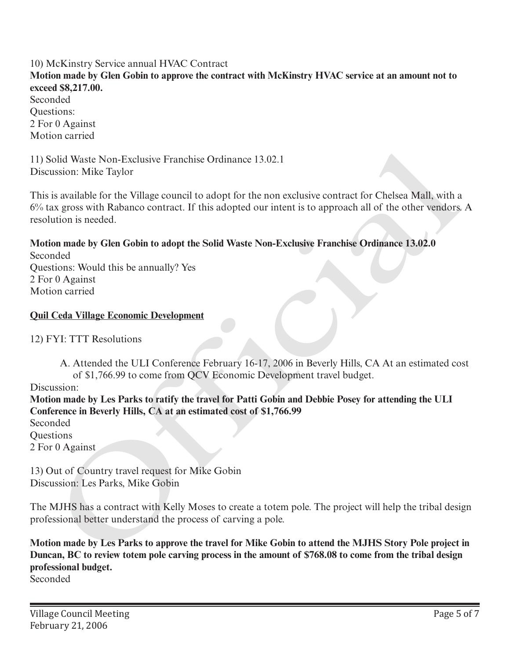## 10) McKinstry Service annual HVAC Contract **Motion made by Glen Gobin to approve the contract with McKinstry HVAC service at an amount not to exceed \$8,217.00.**  Seconded Questions: 2 For 0 Against Motion carried

11) Solid Waste Non-Exclusive Franchise Ordinance 13.02.1 Discussion: Mike Taylor

This is available for the Village council to adopt for the non exclusive contract for Chelsea Mall, with a 6% tax gross with Rabanco contract. If this adopted our intent is to approach all of the other vendors. A resolution is needed. iolid Waste Non-Exclusive Franchise Ordinance 13.02.1<br>
sission: Mike Taylor<br>
is available for the Willage council to adopt for the non exclusive contract for Chelsea Mall, with<br>
ax grans with Rahanco contract. If this adop

#### **Motion made by Glen Gobin to adopt the Solid Waste Non-Exclusive Franchise Ordinance 13.02.0** Seconded

Questions: Would this be annually? Yes 2 For 0 Against Motion carried

# **Quil Ceda Village Economic Development**

12) FYI: TTT Resolutions

A. Attended the ULI Conference February 16-17, 2006 in Beverly Hills, CA At an estimated cost of \$1,766.99 to come from QCV Economic Development travel budget.

Discussion:

**Motion made by Les Parks to ratify the travel for Patti Gobin and Debbie Posey for attending the ULI Conference in Beverly Hills, CA at an estimated cost of \$1,766.99**

Seconded Questions

2 For 0 Against

13) Out of Country travel request for Mike Gobin Discussion: Les Parks, Mike Gobin

The MJHS has a contract with Kelly Moses to create a totem pole. The project will help the tribal design professional better understand the process of carving a pole.

**Motion made by Les Parks to approve the travel for Mike Gobin to attend the MJHS Story Pole project in Duncan, BC to review totem pole carving process in the amount of \$768.08 to come from the tribal design professional budget.**

Seconded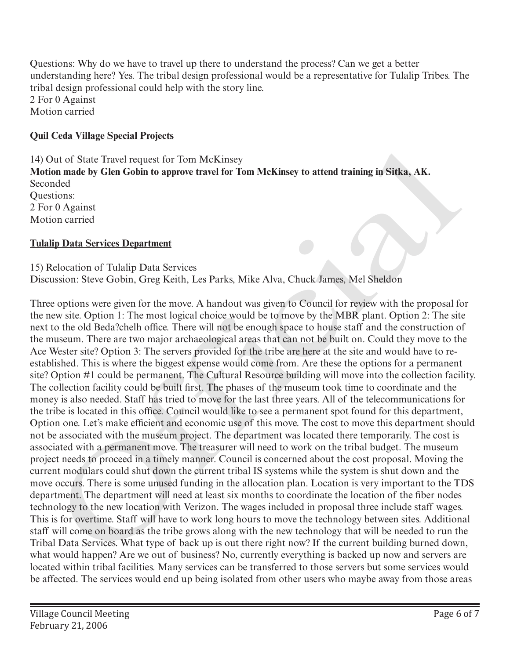Questions: Why do we have to travel up there to understand the process? Can we get a better understanding here? Yes. The tribal design professional would be a representative for Tulalip Tribes. The tribal design professional could help with the story line. 2 For 0 Against Motion carried

# **Quil Ceda Village Special Projects**

14) Out of State Travel request for Tom McKinsey **Motion made by Glen Gobin to approve travel for Tom McKinsey to attend training in Sitka, AK.** Seconded Questions: 2 For 0 Against Motion carried

# **Tulalip Data Services Department**

15) Relocation of Tulalip Data Services Discussion: Steve Gobin, Greg Keith, Les Parks, Mike Alva, Chuck James, Mel Sheldon

Three options were given for the move. A handout was given to Council for review with the proposal for the new site. Option 1: The most logical choice would be to move by the MBR plant. Option 2: The site next to the old Beda?chelh office. There will not be enough space to house staff and the construction of the museum. There are two major archaeological areas that can not be built on. Could they move to the Ace Wester site? Option 3: The servers provided for the tribe are here at the site and would have to reestablished. This is where the biggest expense would come from. Are these the options for a permanent site? Option #1 could be permanent. The Cultural Resource building will move into the collection facility. The collection facility could be built first. The phases of the museum took time to coordinate and the money is also needed. Staff has tried to move for the last three years. All of the telecommunications for the tribe is located in this office. Council would like to see a permanent spot found for this department, Option one. Let's make efficient and economic use of this move. The cost to move this department should not be associated with the museum project. The department was located there temporarily. The cost is associated with a permanent move. The treasurer will need to work on the tribal budget. The museum project needs to proceed in a timely manner. Council is concerned about the cost proposal. Moving the current modulars could shut down the current tribal IS systems while the system is shut down and the move occurs. There is some unused funding in the allocation plan. Location is very important to the TDS department. The department will need at least six months to coordinate the location of the fiber nodes technology to the new location with Verizon. The wages included in proposal three include staff wages. This is for overtime. Staff will have to work long hours to move the technology between sites. Additional staff will come on board as the tribe grows along with the new technology that will be needed to run the Tribal Data Services. What type of back up is out there right now? If the current building burned down, what would happen? Are we out of business? No, currently everything is backed up now and servers are located within tribal facilities. Many services can be transferred to those servers but some services would be affected. The services would end up being isolated from other users who maybe away from those areas Dut of State Travel request for Tom McKinsey<br>on **made by Glen Gobin to approve travel for Tom McKinsey to attend training in Sitka, AK.**<br>
model<br>
model<br>
model<br>
model<br>
model<br>
model<br>
model<br>
model<br>
model<br>
model<br>
model<br>
contine